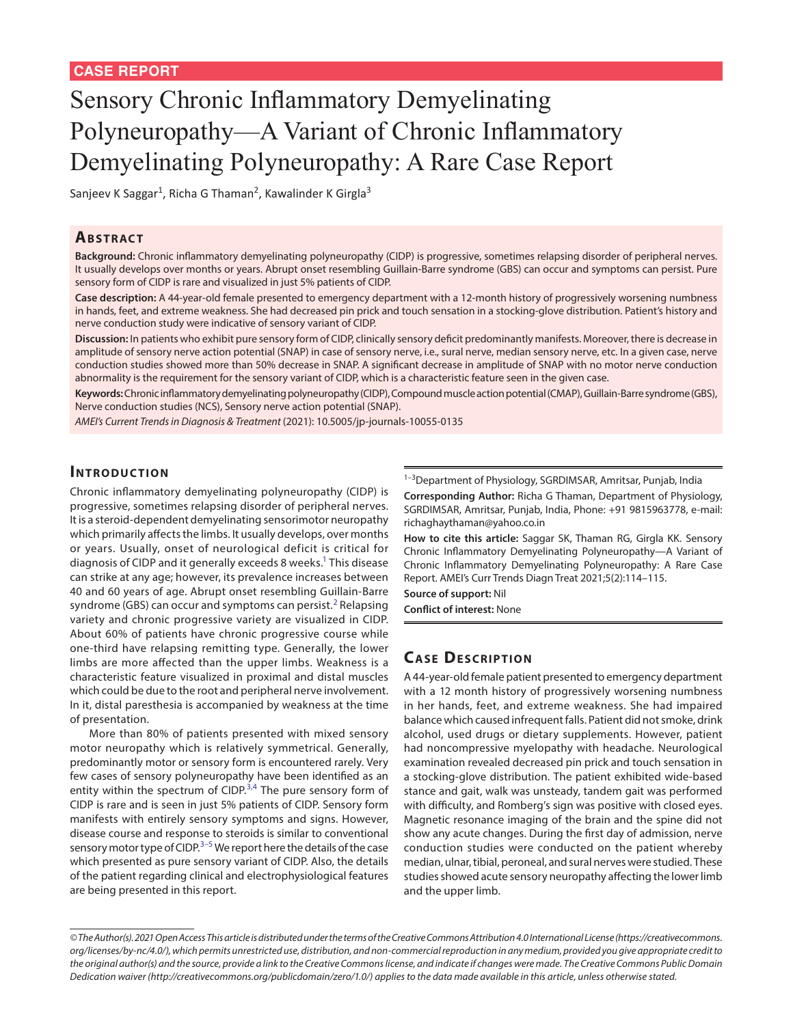# Sensory Chronic Inflammatory Demyelinating Polyneuropathy—A Variant of Chronic Inflammatory Demyelinating Polyneuropathy: A Rare Case Report

Sanjeev K Saggar<sup>1</sup>, Richa G Thaman<sup>2</sup>, Kawalinder K Girgla<sup>3</sup>

### **ABSTRACT**

**Background:** Chronic inflammatory demyelinating polyneuropathy (CIDP) is progressive, sometimes relapsing disorder of peripheral nerves. It usually develops over months or years. Abrupt onset resembling Guillain-Barre syndrome (GBS) can occur and symptoms can persist. Pure sensory form of CIDP is rare and visualized in just 5% patients of CIDP.

**Case description:** A 44-year-old female presented to emergency department with a 12-month history of progressively worsening numbness in hands, feet, and extreme weakness. She had decreased pin prick and touch sensation in a stocking-glove distribution. Patient's history and nerve conduction study were indicative of sensory variant of CIDP.

**Discussion:** In patients who exhibit pure sensory form of CIDP, clinically sensory deficit predominantly manifests. Moreover, there is decrease in amplitude of sensory nerve action potential (SNAP) in case of sensory nerve, i.e., sural nerve, median sensory nerve, etc. In a given case, nerve conduction studies showed more than 50% decrease in SNAP. A significant decrease in amplitude of SNAP with no motor nerve conduction abnormality is the requirement for the sensory variant of CIDP, which is a characteristic feature seen in the given case.

**Keywords:** Chronic inflammatory demyelinating polyneuropathy (CIDP), Compound muscle action potential (CMAP), Guillain-Barre syndrome (GBS), Nerve conduction studies (NCS), Sensory nerve action potential (SNAP).

*AMEI's Current Trends in Diagnosis & Treatment* (2021): 10.5005/jp-journals-10055-0135

# **INTRODUCTION**

Chronic inflammatory demyelinating polyneuropathy (CIDP) is progressive, sometimes relapsing disorder of peripheral nerves. It is a steroid-dependent demyelinating sensorimotor neuropathy which primarily affects the limbs. It usually develops, over months or years. Usually, onset of neurological deficit is critical for diagnosis of CIDP and it generally exceeds 8 weeks.<sup>1</sup> This disease can strike at any age; however, its prevalence increases between 40 and 60 years of age. Abrupt onset resembling Guillain-Barre syndrome (GBS) can occur and symptoms can persist.<sup>[2](#page-1-1)</sup> Relapsing variety and chronic progressive variety are visualized in CIDP. About 60% of patients have chronic progressive course while one-third have relapsing remitting type. Generally, the lower limbs are more affected than the upper limbs. Weakness is a characteristic feature visualized in proximal and distal muscles which could be due to the root and peripheral nerve involvement. In it, distal paresthesia is accompanied by weakness at the time of presentation.

More than 80% of patients presented with mixed sensory motor neuropathy which is relatively symmetrical. Generally, predominantly motor or sensory form is encountered rarely. Very few cases of sensory polyneuropathy have been identified as an entity within the spectrum of CIDP.<sup>[3,](#page-1-2)[4](#page-1-3)</sup> The pure sensory form of CIDP is rare and is seen in just 5% patients of CIDP. Sensory form manifests with entirely sensory symptoms and signs. However, disease course and response to steroids is similar to conventional sensory motor type of CIDP.<sup>[3](#page-1-2)[–5](#page-1-4)</sup> We report here the details of the case which presented as pure sensory variant of CIDP. Also, the details of the patient regarding clinical and electrophysiological features are being presented in this report.

<sup>1-3</sup>Department of Physiology, SGRDIMSAR, Amritsar, Punjab, India

**Corresponding Author:** Richa G Thaman, Department of Physiology, SGRDIMSAR, Amritsar, Punjab, India, Phone: +91 9815963778, e-mail: richaghaythaman@yahoo.co.in

**How to cite this article:** Saggar SK, Thaman RG, Girgla KK. Sensory Chronic Inflammatory Demyelinating Polyneuropathy—A Variant of Chronic Inflammatory Demyelinating Polyneuropathy: A Rare Case Report. AMEI's Curr Trends Diagn Treat 2021;5(2):114–115.

**Source of support:** Nil

**Conflict of interest:** None

# **CASE DESCRIPTION**

A 44-year-old female patient presented to emergency department with a 12 month history of progressively worsening numbness in her hands, feet, and extreme weakness. She had impaired balance which caused infrequent falls. Patient did not smoke, drink alcohol, used drugs or dietary supplements. However, patient had noncompressive myelopathy with headache. Neurological examination revealed decreased pin prick and touch sensation in a stocking-glove distribution. The patient exhibited wide-based stance and gait, walk was unsteady, tandem gait was performed with difficulty, and Romberg's sign was positive with closed eyes. Magnetic resonance imaging of the brain and the spine did not show any acute changes. During the first day of admission, nerve conduction studies were conducted on the patient whereby median, ulnar, tibial, peroneal, and sural nerves were studied. These studies showed acute sensory neuropathy affecting the lower limb and the upper limb.

*<sup>©</sup> The Author(s). 2021 Open Access This article is distributed under the terms of the Creative Commons Attribution 4.0 International License [\(https://creativecommons.](https://creativecommons. org/licenses/by-nc/4.0/) [org/licenses/by-nc/4.0/](https://creativecommons. org/licenses/by-nc/4.0/)), which permits unrestricted use, distribution, and non-commercial reproduction in any medium, provided you give appropriate credit to the original author(s) and the source, provide a link to the Creative Commons license, and indicate if changes were made. The Creative Commons Public Domain Dedication waiver [\(http://creativecommons.org/publicdomain/zero/1.0/\)](http://creativecommons.org/publicdomain/zero/1.0/) applies to the data made available in this article, unless otherwise stated.*